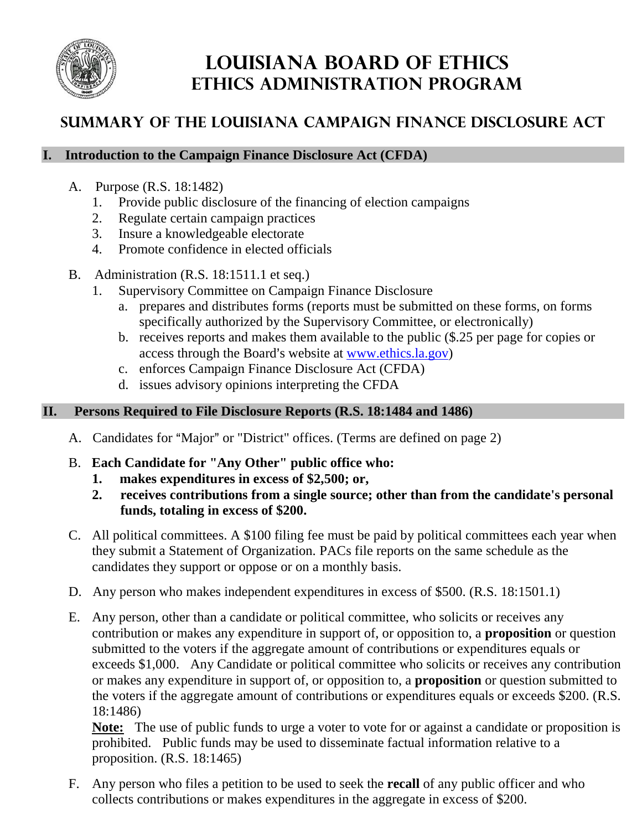

# **LOUISIANA BOARD OF ETHICS Ethics Administration Program**

## **Summary of the Louisiana Campaign Finance Disclosure Act**

#### **I. Introduction to the Campaign Finance Disclosure Act (CFDA)**

- A. Purpose (R.S. 18:1482)
	- 1. Provide public disclosure of the financing of election campaigns
	- 2. Regulate certain campaign practices
	- 3. Insure a knowledgeable electorate
	- 4. Promote confidence in elected officials
- B. Administration (R.S. 18:1511.1 et seq.)
	- 1. Supervisory Committee on Campaign Finance Disclosure
		- a. prepares and distributes forms (reports must be submitted on these forms, on forms specifically authorized by the Supervisory Committee, or electronically)
		- b. receives reports and makes them available to the public (\$.25 per page for copies or access through the Board's website at www.ethics.la.gov)
		- c. enforces Campaign Finance Disclosure Act (CFDA)
		- d. issues advisory opinions interpreting the CFDA

### **II. Persons Required to File Disclosure Reports (R.S. 18:1484 and 1486)**

- A. Candidates for "Major" or "District" offices. (Terms are defined on page 2)
- B. **Each Candidate for "Any Other" public office who:**
	- **1. makes expenditures in excess of \$2,500; or,**
	- **2. receives contributions from a single source; other than from the candidate's personal funds, totaling in excess of \$200.**
- C. All political committees. A \$100 filing fee must be paid by political committees each year when they submit a Statement of Organization. PACs file reports on the same schedule as the candidates they support or oppose or on a monthly basis.
- D. Any person who makes independent expenditures in excess of \$500. (R.S. 18:1501.1)
- E. Any person, other than a candidate or political committee, who solicits or receives any contribution or makes any expenditure in support of, or opposition to, a **proposition** or question submitted to the voters if the aggregate amount of contributions or expenditures equals or exceeds \$1,000. Any Candidate or political committee who solicits or receives any contribution or makes any expenditure in support of, or opposition to, a **proposition** or question submitted to the voters if the aggregate amount of contributions or expenditures equals or exceeds \$200. (R.S. 18:1486)

**Note:** The use of public funds to urge a voter to vote for or against a candidate or proposition is prohibited. Public funds may be used to disseminate factual information relative to a proposition. (R.S. 18:1465)

F. Any person who files a petition to be used to seek the **recall** of any public officer and who collects contributions or makes expenditures in the aggregate in excess of \$200.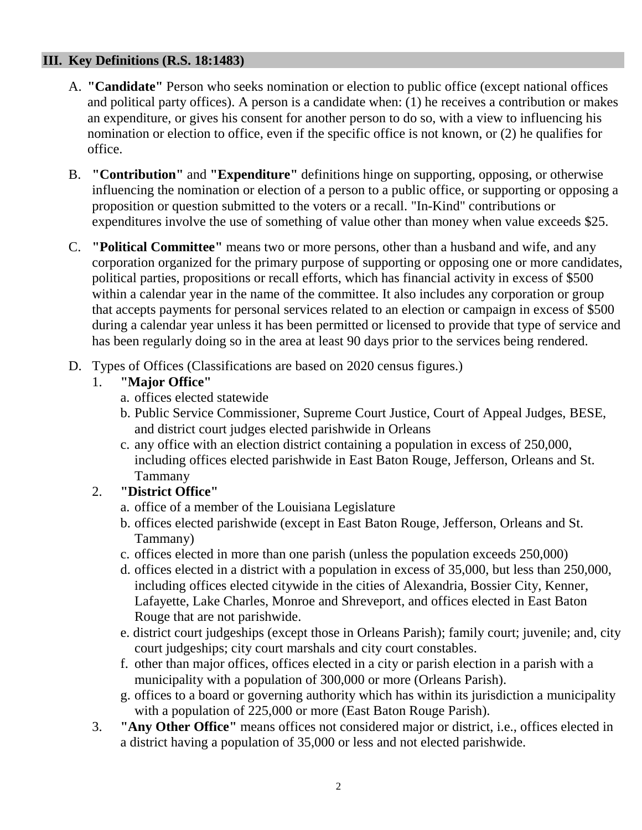#### **III. Key Definitions (R.S. 18:1483)**

- A. **"Candidate"** Person who seeks nomination or election to public office (except national offices and political party offices). A person is a candidate when: (1) he receives a contribution or makes an expenditure, or gives his consent for another person to do so, with a view to influencing his nomination or election to office, even if the specific office is not known, or (2) he qualifies for office.
- B. **"Contribution"** and **"Expenditure"** definitions hinge on supporting, opposing, or otherwise influencing the nomination or election of a person to a public office, or supporting or opposing a proposition or question submitted to the voters or a recall. "In-Kind" contributions or expenditures involve the use of something of value other than money when value exceeds \$25.
- C. **"Political Committee"** means two or more persons, other than a husband and wife, and any corporation organized for the primary purpose of supporting or opposing one or more candidates, political parties, propositions or recall efforts, which has financial activity in excess of \$500 within a calendar year in the name of the committee. It also includes any corporation or group that accepts payments for personal services related to an election or campaign in excess of \$500 during a calendar year unless it has been permitted or licensed to provide that type of service and has been regularly doing so in the area at least 90 days prior to the services being rendered.
- D. Types of Offices (Classifications are based on 2020 census figures.)

## 1. **"Major Office"**

- a. offices elected statewide
- b. Public Service Commissioner, Supreme Court Justice, Court of Appeal Judges, BESE, and district court judges elected parishwide in Orleans
- c. any office with an election district containing a population in excess of 250,000, including offices elected parishwide in East Baton Rouge, Jefferson, Orleans and St. Tammany

## 2. **"District Office"**

- a. office of a member of the Louisiana Legislature
- b. offices elected parishwide (except in East Baton Rouge, Jefferson, Orleans and St. Tammany)
- c. offices elected in more than one parish (unless the population exceeds 250,000)
- d. offices elected in a district with a population in excess of 35,000, but less than 250,000, including offices elected citywide in the cities of Alexandria, Bossier City, Kenner, Lafayette, Lake Charles, Monroe and Shreveport, and offices elected in East Baton Rouge that are not parishwide.
- e. district court judgeships (except those in Orleans Parish); family court; juvenile; and, city court judgeships; city court marshals and city court constables.
- f. other than major offices, offices elected in a city or parish election in a parish with a municipality with a population of 300,000 or more (Orleans Parish).
- g. offices to a board or governing authority which has within its jurisdiction a municipality with a population of 225,000 or more (East Baton Rouge Parish).
- 3. **"Any Other Office"** means offices not considered major or district, i.e., offices elected in a district having a population of 35,000 or less and not elected parishwide.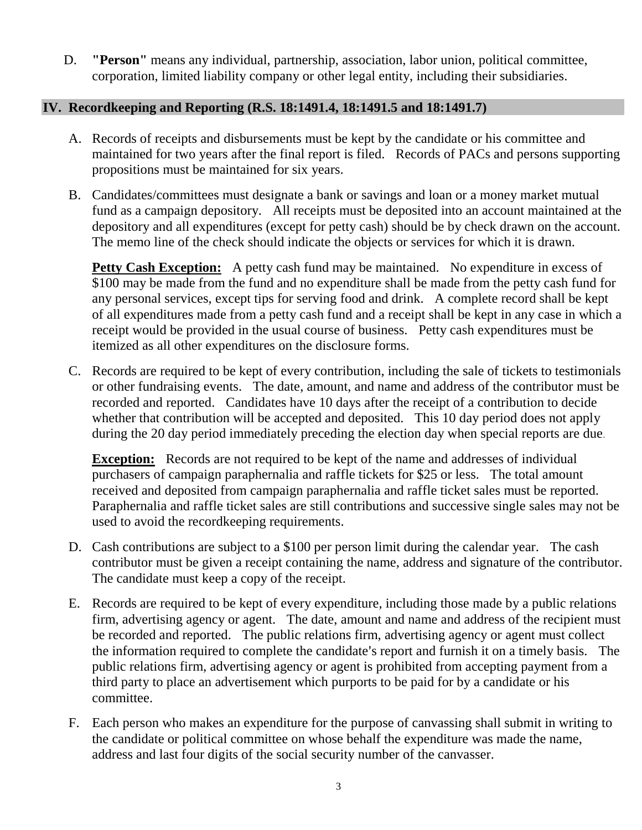D. **"Person"** means any individual, partnership, association, labor union, political committee, corporation, limited liability company or other legal entity, including their subsidiaries.

#### **IV. Recordkeeping and Reporting (R.S. 18:1491.4, 18:1491.5 and 18:1491.7)**

- A. Records of receipts and disbursements must be kept by the candidate or his committee and maintained for two years after the final report is filed. Records of PACs and persons supporting propositions must be maintained for six years.
- B. Candidates/committees must designate a bank or savings and loan or a money market mutual fund as a campaign depository. All receipts must be deposited into an account maintained at the depository and all expenditures (except for petty cash) should be by check drawn on the account. The memo line of the check should indicate the objects or services for which it is drawn.

**Petty Cash Exception:** A petty cash fund may be maintained. No expenditure in excess of \$100 may be made from the fund and no expenditure shall be made from the petty cash fund for any personal services, except tips for serving food and drink. A complete record shall be kept of all expenditures made from a petty cash fund and a receipt shall be kept in any case in which a receipt would be provided in the usual course of business. Petty cash expenditures must be itemized as all other expenditures on the disclosure forms.

C. Records are required to be kept of every contribution, including the sale of tickets to testimonials or other fundraising events. The date, amount, and name and address of the contributor must be recorded and reported. Candidates have 10 days after the receipt of a contribution to decide whether that contribution will be accepted and deposited. This 10 day period does not apply during the 20 day period immediately preceding the election day when special reports are due.

**Exception:** Records are not required to be kept of the name and addresses of individual purchasers of campaign paraphernalia and raffle tickets for \$25 or less. The total amount received and deposited from campaign paraphernalia and raffle ticket sales must be reported. Paraphernalia and raffle ticket sales are still contributions and successive single sales may not be used to avoid the recordkeeping requirements.

- D. Cash contributions are subject to a \$100 per person limit during the calendar year. The cash contributor must be given a receipt containing the name, address and signature of the contributor. The candidate must keep a copy of the receipt.
- E. Records are required to be kept of every expenditure, including those made by a public relations firm, advertising agency or agent. The date, amount and name and address of the recipient must be recorded and reported. The public relations firm, advertising agency or agent must collect the information required to complete the candidate's report and furnish it on a timely basis. The public relations firm, advertising agency or agent is prohibited from accepting payment from a third party to place an advertisement which purports to be paid for by a candidate or his committee.
- F. Each person who makes an expenditure for the purpose of canvassing shall submit in writing to the candidate or political committee on whose behalf the expenditure was made the name, address and last four digits of the social security number of the canvasser.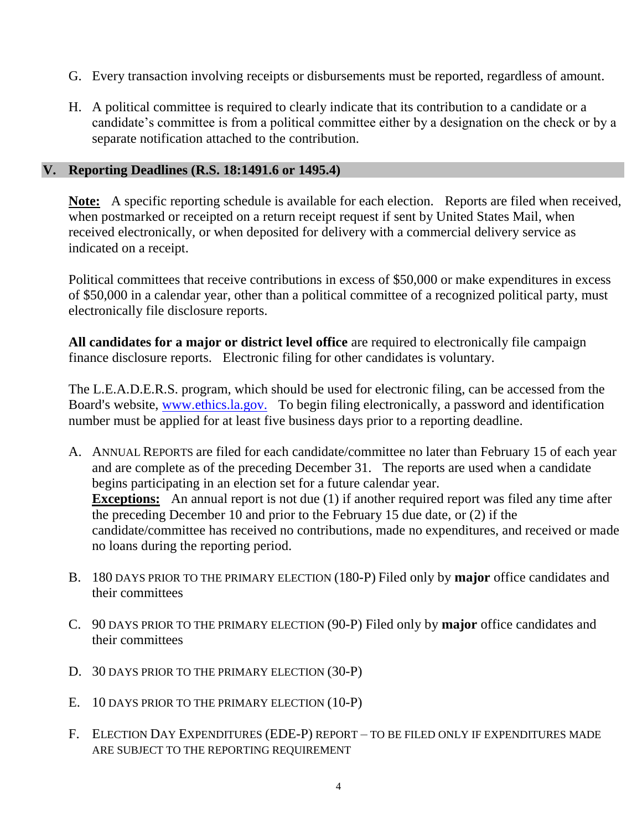- G. Every transaction involving receipts or disbursements must be reported, regardless of amount.
- H. A political committee is required to clearly indicate that its contribution to a candidate or a candidate's committee is from a political committee either by a designation on the check or by a separate notification attached to the contribution.

#### **V. Reporting Deadlines (R.S. 18:1491.6 or 1495.4)**

**Note:** A specific reporting schedule is available for each election. Reports are filed when received, when postmarked or receipted on a return receipt request if sent by United States Mail, when received electronically, or when deposited for delivery with a commercial delivery service as indicated on a receipt.

Political committees that receive contributions in excess of \$50,000 or make expenditures in excess of \$50,000 in a calendar year, other than a political committee of a recognized political party, must electronically file disclosure reports.

**All candidates for a major or district level office** are required to electronically file campaign finance disclosure reports. Electronic filing for other candidates is voluntary.

The L.E.A.D.E.R.S. program, which should be used for electronic filing, can be accessed from the Board's website, www.ethics.la.gov. To begin filing electronically, a password and identification number must be applied for at least five business days prior to a reporting deadline.

- A. ANNUAL REPORTS are filed for each candidate/committee no later than February 15 of each year and are complete as of the preceding December 31. The reports are used when a candidate begins participating in an election set for a future calendar year. **Exceptions:** An annual report is not due (1) if another required report was filed any time after the preceding December 10 and prior to the February 15 due date, or (2) if the candidate/committee has received no contributions, made no expenditures, and received or made no loans during the reporting period.
- B. 180 DAYS PRIOR TO THE PRIMARY ELECTION (180-P) Filed only by **major** office candidates and their committees
- C. 90 DAYS PRIOR TO THE PRIMARY ELECTION (90-P) Filed only by **major** office candidates and their committees
- D. 30 DAYS PRIOR TO THE PRIMARY ELECTION (30-P)
- E. 10 DAYS PRIOR TO THE PRIMARY ELECTION (10-P)
- F. ELECTION DAY EXPENDITURES (EDE-P) REPORT TO BE FILED ONLY IF EXPENDITURES MADE ARE SUBJECT TO THE REPORTING REQUIREMENT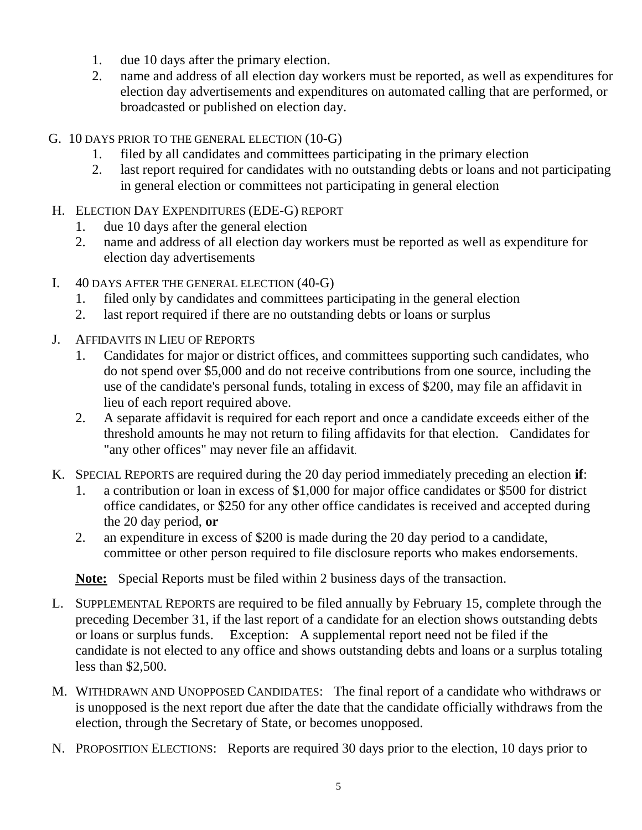- 1. due 10 days after the primary election.
- 2. name and address of all election day workers must be reported, as well as expenditures for election day advertisements and expenditures on automated calling that are performed, or broadcasted or published on election day.
- G. 10 DAYS PRIOR TO THE GENERAL ELECTION (10-G)
	- 1. filed by all candidates and committees participating in the primary election
	- 2. last report required for candidates with no outstanding debts or loans and not participating in general election or committees not participating in general election
- H. ELECTION DAY EXPENDITURES (EDE-G) REPORT
	- 1. due 10 days after the general election
	- 2. name and address of all election day workers must be reported as well as expenditure for election day advertisements
- I. 40 DAYS AFTER THE GENERAL ELECTION (40-G)
	- 1. filed only by candidates and committees participating in the general election
	- 2. last report required if there are no outstanding debts or loans or surplus
- J. AFFIDAVITS IN LIEU OF REPORTS
	- 1. Candidates for major or district offices, and committees supporting such candidates, who do not spend over \$5,000 and do not receive contributions from one source, including the use of the candidate's personal funds, totaling in excess of \$200, may file an affidavit in lieu of each report required above.
	- 2. A separate affidavit is required for each report and once a candidate exceeds either of the threshold amounts he may not return to filing affidavits for that election. Candidates for "any other offices" may never file an affidavit.
- K. SPECIAL REPORTS are required during the 20 day period immediately preceding an election **if**:
	- 1. a contribution or loan in excess of \$1,000 for major office candidates or \$500 for district office candidates, or \$250 for any other office candidates is received and accepted during the 20 day period, **or**
	- 2. an expenditure in excess of \$200 is made during the 20 day period to a candidate, committee or other person required to file disclosure reports who makes endorsements.

**Note:** Special Reports must be filed within 2 business days of the transaction.

- L. SUPPLEMENTAL REPORTS are required to be filed annually by February 15, complete through the preceding December 31, if the last report of a candidate for an election shows outstanding debts or loans or surplus funds. Exception: A supplemental report need not be filed if the candidate is not elected to any office and shows outstanding debts and loans or a surplus totaling less than \$2,500.
- M. WITHDRAWN AND UNOPPOSED CANDIDATES: The final report of a candidate who withdraws or is unopposed is the next report due after the date that the candidate officially withdraws from the election, through the Secretary of State, or becomes unopposed.
- N. PROPOSITION ELECTIONS: Reports are required 30 days prior to the election, 10 days prior to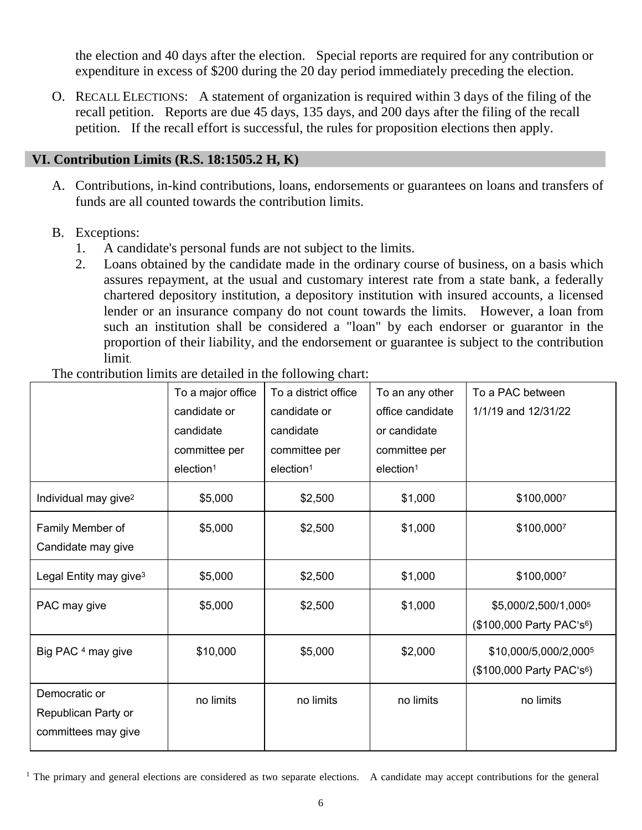the election and 40 days after the election. Special reports are required for any contribution or expenditure in excess of \$200 during the 20 day period immediately preceding the election.

O. RECALL ELECTIONS: A statement of organization is required within 3 days of the filing of the recall petition. Reports are due 45 days, 135 days, and 200 days after the filing of the recall petition. If the recall effort is successful, the rules for proposition elections then apply.

#### **VI. Contribution Limits (R.S. 18:1505.2 H, K)**

- A. Contributions, in-kind contributions, loans, endorsements or guarantees on loans and transfers of funds are all counted towards the contribution limits.
- B. Exceptions:
	- 1. A candidate's personal funds are not subject to the limits.
	- 2. Loans obtained by the candidate made in the ordinary course of business, on a basis which assures repayment, at the usual and customary interest rate from a state bank, a federally chartered depository institution, a depository institution with insured accounts, a licensed lender or an insurance company do not count towards the limits. However, a loan from such an institution shall be considered a "loan" by each endorser or guarantor in the proportion of their liability, and the endorsement or guarantee is subject to the contribution limit.

The contribution limits are detailed in the following chart:

|                                                             | To a major office<br>candidate or<br>candidate<br>committee per | To a district office<br>candidate or<br>candidate<br>committee per | To an any other<br>office candidate<br>or candidate<br>committee per | To a PAC between<br>1/1/19 and 12/31/22                        |
|-------------------------------------------------------------|-----------------------------------------------------------------|--------------------------------------------------------------------|----------------------------------------------------------------------|----------------------------------------------------------------|
|                                                             | election <sup>1</sup>                                           | election <sup>1</sup>                                              | election <sup>1</sup>                                                |                                                                |
| Individual may give <sup>2</sup>                            | \$5,000                                                         | \$2,500                                                            | \$1,000                                                              | \$100,0007                                                     |
| Family Member of<br>Candidate may give                      | \$5,000                                                         | \$2,500                                                            | \$1,000                                                              | \$100,0007                                                     |
| Legal Entity may give <sup>3</sup>                          | \$5,000                                                         | \$2,500                                                            | \$1,000                                                              | \$100,0007                                                     |
| PAC may give                                                | \$5,000                                                         | \$2,500                                                            | \$1,000                                                              | \$5,000/2,500/1,0005<br>$($100,000$ Party PAC's <sup>6</sup> ) |
| Big PAC <sup>4</sup> may give                               | \$10,000                                                        | \$5,000                                                            | \$2,000                                                              | \$10,000/5,000/2,0005<br>(\$100,000 Party PAC's <sup>6</sup> ) |
| Democratic or<br>Republican Party or<br>committees may give | no limits                                                       | no limits                                                          | no limits                                                            | no limits                                                      |

<sup>&</sup>lt;sup>1</sup> The primary and general elections are considered as two separate elections. A candidate may accept contributions for the general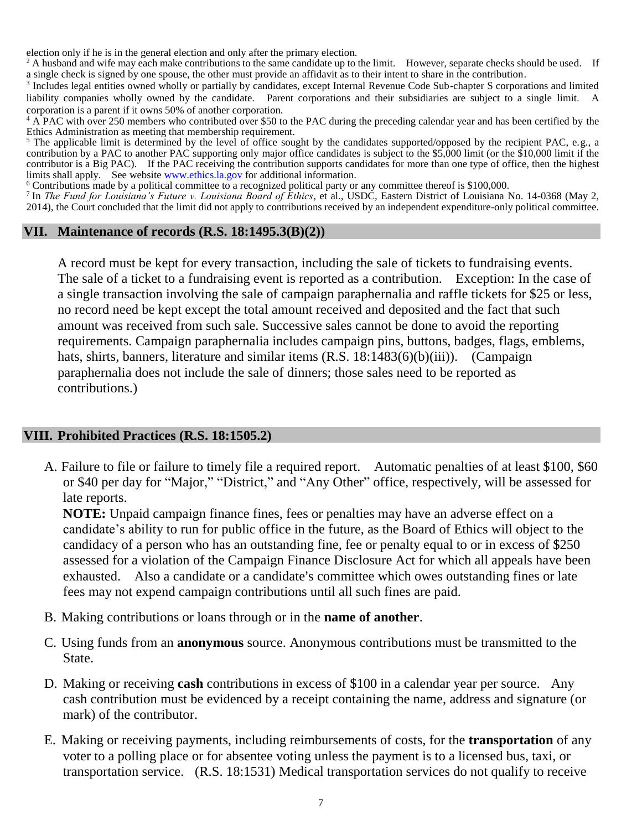election only if he is in the general election and only after the primary election.

<sup>2</sup> A husband and wife may each make contributions to the same candidate up to the limit. However, separate checks should be used. If a single check is signed by one spouse, the other must provide an affidavit as to their intent to share in the contribution.

<sup>3</sup> Includes legal entities owned wholly or partially by candidates, except Internal Revenue Code Sub-chapter S corporations and limited liability companies wholly owned by the candidate. Parent corporations and their subsidiaries are subject to a single limit. A corporation is a parent if it owns 50% of another corporation.

<sup>4</sup> A PAC with over 250 members who contributed over \$50 to the PAC during the preceding calendar year and has been certified by the Ethics Administration as meeting that membership requirement.

<sup>5</sup> The applicable limit is determined by the level of office sought by the candidates supported/opposed by the recipient PAC, e.g., a contribution by a PAC to another PAC supporting only major office candidates is subject to the \$5,000 limit (or the \$10,000 limit if the contributor is a Big PAC). If the PAC receiving the contribution supports candidates for more than one type of office, then the highest limits shall apply. See websit[e www.ethics.la.gov](http://www.ethics.la.gov/) for additional information.

<sup>6</sup> Contributions made by a political committee to a recognized political party or any committee thereof is \$100,000.

7 In *The Fund for Louisiana's Future v. Louisiana Board of Ethics*, et al., USDC, Eastern District of Louisiana No. 14-0368 (May 2, 2014), the Court concluded that the limit did not apply to contributions received by an independent expenditure-only political committee.

#### **VII. Maintenance of records (R.S. 18:1495.3(B)(2))**

A record must be kept for every transaction, including the sale of tickets to fundraising events. The sale of a ticket to a fundraising event is reported as a contribution. Exception: In the case of a single transaction involving the sale of campaign paraphernalia and raffle tickets for \$25 or less, no record need be kept except the total amount received and deposited and the fact that such amount was received from such sale. Successive sales cannot be done to avoid the reporting requirements. Campaign paraphernalia includes campaign pins, buttons, badges, flags, emblems, hats, shirts, banners, literature and similar items (R.S. 18:1483(6)(b)(iii)). (Campaign paraphernalia does not include the sale of dinners; those sales need to be reported as contributions.)

#### **VIII. Prohibited Practices (R.S. 18:1505.2)**

A. Failure to file or failure to timely file a required report. Automatic penalties of at least \$100, \$60 or \$40 per day for "Major," "District," and "Any Other" office, respectively, will be assessed for late reports.

**NOTE:** Unpaid campaign finance fines, fees or penalties may have an adverse effect on a candidate's ability to run for public office in the future, as the Board of Ethics will object to the candidacy of a person who has an outstanding fine, fee or penalty equal to or in excess of \$250 assessed for a violation of the Campaign Finance Disclosure Act for which all appeals have been exhausted. Also a candidate or a candidate's committee which owes outstanding fines or late fees may not expend campaign contributions until all such fines are paid.

- B. Making contributions or loans through or in the **name of another**.
- C. Using funds from an **anonymous** source. Anonymous contributions must be transmitted to the State.
- D. Making or receiving **cash** contributions in excess of \$100 in a calendar year per source. Any cash contribution must be evidenced by a receipt containing the name, address and signature (or mark) of the contributor.
- E. Making or receiving payments, including reimbursements of costs, for the **transportation** of any voter to a polling place or for absentee voting unless the payment is to a licensed bus, taxi, or transportation service. (R.S. 18:1531) Medical transportation services do not qualify to receive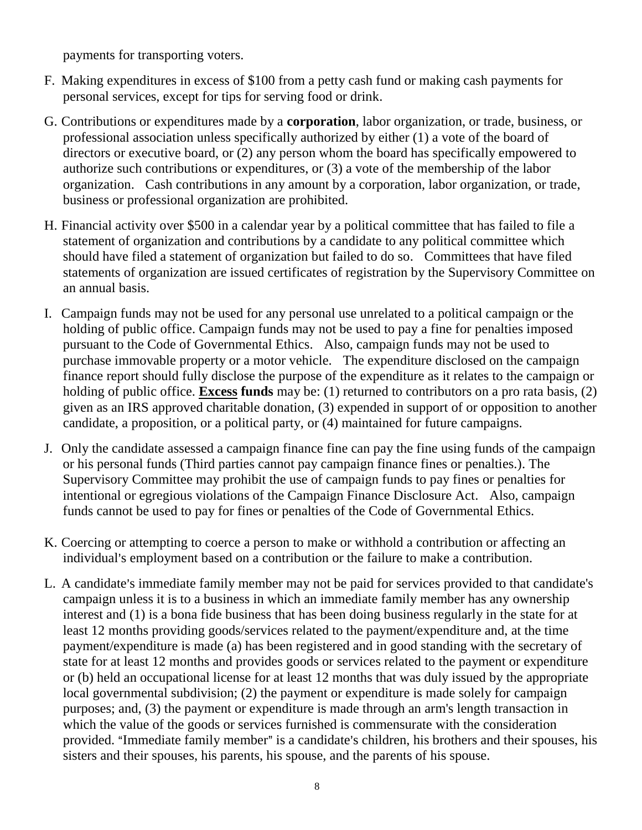payments for transporting voters.

- F. Making expenditures in excess of \$100 from a petty cash fund or making cash payments for personal services, except for tips for serving food or drink.
- G. Contributions or expenditures made by a **corporation**, labor organization, or trade, business, or professional association unless specifically authorized by either (1) a vote of the board of directors or executive board, or (2) any person whom the board has specifically empowered to authorize such contributions or expenditures, or (3) a vote of the membership of the labor organization. Cash contributions in any amount by a corporation, labor organization, or trade, business or professional organization are prohibited.
- H. Financial activity over \$500 in a calendar year by a political committee that has failed to file a statement of organization and contributions by a candidate to any political committee which should have filed a statement of organization but failed to do so. Committees that have filed statements of organization are issued certificates of registration by the Supervisory Committee on an annual basis.
- I. Campaign funds may not be used for any personal use unrelated to a political campaign or the holding of public office. Campaign funds may not be used to pay a fine for penalties imposed pursuant to the Code of Governmental Ethics. Also, campaign funds may not be used to purchase immovable property or a motor vehicle. The expenditure disclosed on the campaign finance report should fully disclose the purpose of the expenditure as it relates to the campaign or holding of public office. **Excess funds** may be: (1) returned to contributors on a pro rata basis, (2) given as an IRS approved charitable donation, (3) expended in support of or opposition to another candidate, a proposition, or a political party, or (4) maintained for future campaigns.
- J. Only the candidate assessed a campaign finance fine can pay the fine using funds of the campaign or his personal funds (Third parties cannot pay campaign finance fines or penalties.). The Supervisory Committee may prohibit the use of campaign funds to pay fines or penalties for intentional or egregious violations of the Campaign Finance Disclosure Act. Also, campaign funds cannot be used to pay for fines or penalties of the Code of Governmental Ethics.
- K. Coercing or attempting to coerce a person to make or withhold a contribution or affecting an individual's employment based on a contribution or the failure to make a contribution.
- L. A candidate's immediate family member may not be paid for services provided to that candidate's campaign unless it is to a business in which an immediate family member has any ownership interest and (1) is a bona fide business that has been doing business regularly in the state for at least 12 months providing goods/services related to the payment/expenditure and, at the time payment/expenditure is made (a) has been registered and in good standing with the secretary of state for at least 12 months and provides goods or services related to the payment or expenditure or (b) held an occupational license for at least 12 months that was duly issued by the appropriate local governmental subdivision; (2) the payment or expenditure is made solely for campaign purposes; and, (3) the payment or expenditure is made through an arm's length transaction in which the value of the goods or services furnished is commensurate with the consideration provided. "Immediate family member" is a candidate's children, his brothers and their spouses, his sisters and their spouses, his parents, his spouse, and the parents of his spouse.